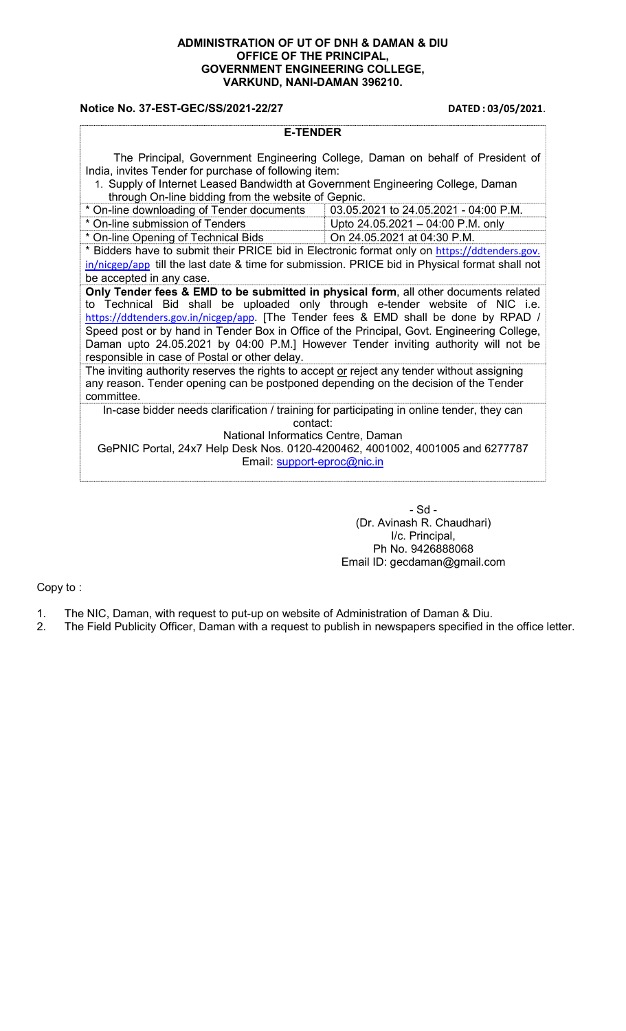## ADMINISTRATION OF UT OF DNH & DAMAN & DIU OFFICE OF THE PRINCIPAL, GOVERNMENT ENGINEERING COLLEGE, VARKUND, NANI-DAMAN 396210.

## Notice No. 37-EST-GEC/SS/2021-22/27 DATED : 03/05/2021.

| <b>E-TENDER</b>                                                                                                                                                                                                                                                                                                                                                                                                                                                                                  |                                       |  |  |
|--------------------------------------------------------------------------------------------------------------------------------------------------------------------------------------------------------------------------------------------------------------------------------------------------------------------------------------------------------------------------------------------------------------------------------------------------------------------------------------------------|---------------------------------------|--|--|
| The Principal, Government Engineering College, Daman on behalf of President of<br>India, invites Tender for purchase of following item:<br>1. Supply of Internet Leased Bandwidth at Government Engineering College, Daman<br>through On-line bidding from the website of Gepnic.                                                                                                                                                                                                                |                                       |  |  |
| * On-line downloading of Tender documents                                                                                                                                                                                                                                                                                                                                                                                                                                                        | 03.05.2021 to 24.05.2021 - 04:00 P.M. |  |  |
| * On-line submission of Tenders                                                                                                                                                                                                                                                                                                                                                                                                                                                                  | Upto 24.05.2021 - 04:00 P.M. only     |  |  |
| * On-line Opening of Technical Bids                                                                                                                                                                                                                                                                                                                                                                                                                                                              | On 24.05.2021 at 04:30 P.M.           |  |  |
| * Bidders have to submit their PRICE bid in Electronic format only on https://ddtenders.gov.                                                                                                                                                                                                                                                                                                                                                                                                     |                                       |  |  |
| $\frac{in/nicgep/app}$ till the last date & time for submission. PRICE bid in Physical format shall not                                                                                                                                                                                                                                                                                                                                                                                          |                                       |  |  |
| be accepted in any case.                                                                                                                                                                                                                                                                                                                                                                                                                                                                         |                                       |  |  |
| Only Tender fees & EMD to be submitted in physical form, all other documents related<br>to Technical Bid shall be uploaded only through e-tender website of NIC i.e.<br>https://ddtenders.gov.in/nicgep/app. [The Tender fees & EMD shall be done by RPAD /<br>Speed post or by hand in Tender Box in Office of the Principal, Govt. Engineering College,<br>Daman upto 24.05.2021 by 04:00 P.M.] However Tender inviting authority will not be<br>responsible in case of Postal or other delay. |                                       |  |  |
| The inviting authority reserves the rights to accept or reject any tender without assigning<br>any reason. Tender opening can be postponed depending on the decision of the Tender<br>committee.                                                                                                                                                                                                                                                                                                 |                                       |  |  |
| In-case bidder needs clarification / training for participating in online tender, they can<br>contact:<br>National Informatics Centre, Daman<br>GePNIC Portal, 24x7 Help Desk Nos. 0120-4200462, 4001002, 4001005 and 6277787<br>Email: support-eproc@nic.in                                                                                                                                                                                                                                     |                                       |  |  |

- Sd - (Dr. Avinash R. Chaudhari) I/c. Principal, Ph No. 9426888068 Email ID: gecdaman@gmail.com

Copy to :

- 1. The NIC, Daman, with request to put-up on website of Administration of Daman & Diu.<br>2. The Field Publicity Officer, Daman with a request to publish in newspapers specified in
- The Field Publicity Officer, Daman with a request to publish in newspapers specified in the office letter.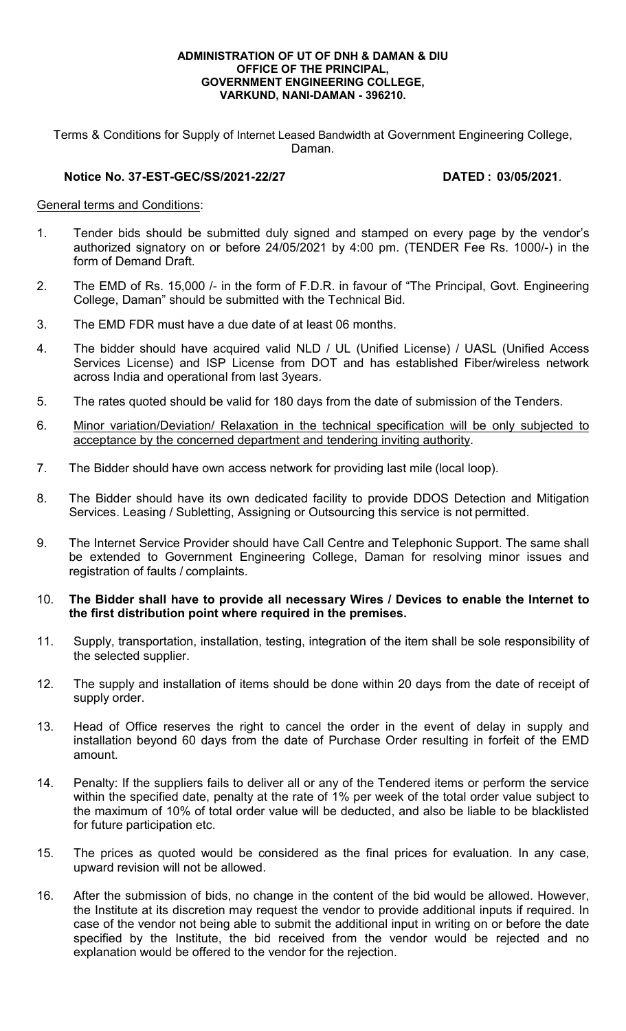### ADMINISTRATION OF UT OF DNH & DAMAN & DIU OFFICE OF THE PRINCIPAL, GOVERNMENT ENGINEERING COLLEGE, VARKUND, NANI-DAMAN - 396210.

Terms & Conditions for Supply of Internet Leased Bandwidth at Government Engineering College, Daman.

## Notice No. 37-EST-GEC/SS/2021-22/27 DATED : 03/05/2021.

## General terms and Conditions:

- 1. Tender bids should be submitted duly signed and stamped on every page by the vendor's authorized signatory on or before 24/05/2021 by 4:00 pm. (TENDER Fee Rs. 1000/-) in the form of Demand Draft.
- 2. The EMD of Rs. 15,000 /- in the form of F.D.R. in favour of "The Principal, Govt. Engineering College, Daman" should be submitted with the Technical Bid.
- 3. The EMD FDR must have a due date of at least 06 months.
- 4. The bidder should have acquired valid NLD / UL (Unified License) / UASL (Unified Access Services License) and ISP License from DOT and has established Fiber/wireless network across India and operational from last 3years.
- 5. The rates quoted should be valid for 180 days from the date of submission of the Tenders.
- 6. Minor variation/Deviation/ Relaxation in the technical specification will be only subjected to acceptance by the concerned department and tendering inviting authority.
- 7. The Bidder should have own access network for providing last mile (local loop).
- 8. The Bidder should have its own dedicated facility to provide DDOS Detection and Mitigation Services. Leasing / Subletting, Assigning or Outsourcing this service is not permitted.
- 9. The Internet Service Provider should have Call Centre and Telephonic Support. The same shall be extended to Government Engineering College, Daman for resolving minor issues and registration of faults / complaints.

## 10. The Bidder shall have to provide all necessary Wires / Devices to enable the Internet to the first distribution point where required in the premises.

- 11. Supply, transportation, installation, testing, integration of the item shall be sole responsibility of the selected supplier.
- 12. The supply and installation of items should be done within 20 days from the date of receipt of supply order.
- 13. Head of Office reserves the right to cancel the order in the event of delay in supply and installation beyond 60 days from the date of Purchase Order resulting in forfeit of the EMD amount.
- 14. Penalty: If the suppliers fails to deliver all or any of the Tendered items or perform the service within the specified date, penalty at the rate of 1% per week of the total order value subject to the maximum of 10% of total order value will be deducted, and also be liable to be blacklisted for future participation etc.
- 15. The prices as quoted would be considered as the final prices for evaluation. In any case, upward revision will not be allowed.
- 16. After the submission of bids, no change in the content of the bid would be allowed. However, the Institute at its discretion may request the vendor to provide additional inputs if required. In case of the vendor not being able to submit the additional input in writing on or before the date specified by the Institute, the bid received from the vendor would be rejected and no explanation would be offered to the vendor for the rejection.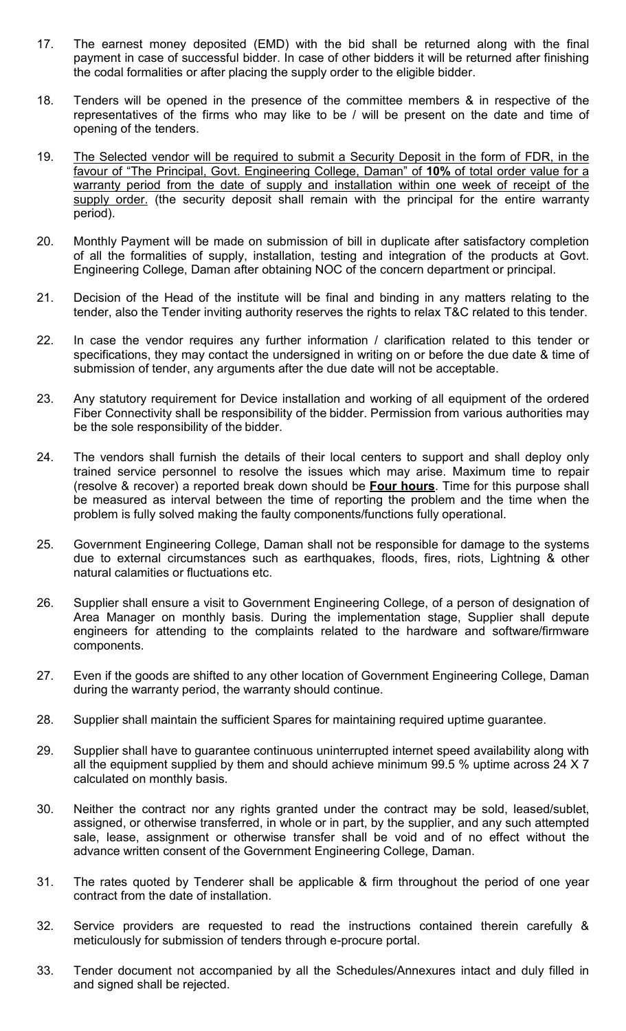- 17. The earnest money deposited (EMD) with the bid shall be returned along with the final payment in case of successful bidder. In case of other bidders it will be returned after finishing the codal formalities or after placing the supply order to the eligible bidder.
- 18. Tenders will be opened in the presence of the committee members & in respective of the representatives of the firms who may like to be / will be present on the date and time of opening of the tenders.
- 19. The Selected vendor will be required to submit a Security Deposit in the form of FDR, in the favour of "The Principal, Govt. Engineering College, Daman" of 10% of total order value for a warranty period from the date of supply and installation within one week of receipt of the supply order. (the security deposit shall remain with the principal for the entire warranty period).
- 20. Monthly Payment will be made on submission of bill in duplicate after satisfactory completion of all the formalities of supply, installation, testing and integration of the products at Govt. Engineering College, Daman after obtaining NOC of the concern department or principal.
- 21. Decision of the Head of the institute will be final and binding in any matters relating to the tender, also the Tender inviting authority reserves the rights to relax T&C related to this tender.
- 22. In case the vendor requires any further information / clarification related to this tender or specifications, they may contact the undersigned in writing on or before the due date & time of submission of tender, any arguments after the due date will not be acceptable.
- 23. Any statutory requirement for Device installation and working of all equipment of the ordered Fiber Connectivity shall be responsibility of the bidder. Permission from various authorities may be the sole responsibility of the bidder.
- 24. The vendors shall furnish the details of their local centers to support and shall deploy only trained service personnel to resolve the issues which may arise. Maximum time to repair (resolve & recover) a reported break down should be **Four hours**. Time for this purpose shall be measured as interval between the time of reporting the problem and the time when the problem is fully solved making the faulty components/functions fully operational.
- 25. Government Engineering College, Daman shall not be responsible for damage to the systems due to external circumstances such as earthquakes, floods, fires, riots, Lightning & other natural calamities or fluctuations etc.
- 26. Supplier shall ensure a visit to Government Engineering College, of a person of designation of Area Manager on monthly basis. During the implementation stage, Supplier shall depute engineers for attending to the complaints related to the hardware and software/firmware components.
- 27. Even if the goods are shifted to any other location of Government Engineering College, Daman during the warranty period, the warranty should continue.
- 28. Supplier shall maintain the sufficient Spares for maintaining required uptime guarantee.
- 29. Supplier shall have to guarantee continuous uninterrupted internet speed availability along with all the equipment supplied by them and should achieve minimum 99.5 % uptime across 24 X 7 calculated on monthly basis.
- 30. Neither the contract nor any rights granted under the contract may be sold, leased/sublet, assigned, or otherwise transferred, in whole or in part, by the supplier, and any such attempted sale, lease, assignment or otherwise transfer shall be void and of no effect without the advance written consent of the Government Engineering College, Daman.
- 31. The rates quoted by Tenderer shall be applicable & firm throughout the period of one year contract from the date of installation.
- 32. Service providers are requested to read the instructions contained therein carefully & meticulously for submission of tenders through e-procure portal.
- 33. Tender document not accompanied by all the Schedules/Annexures intact and duly filled in and signed shall be rejected.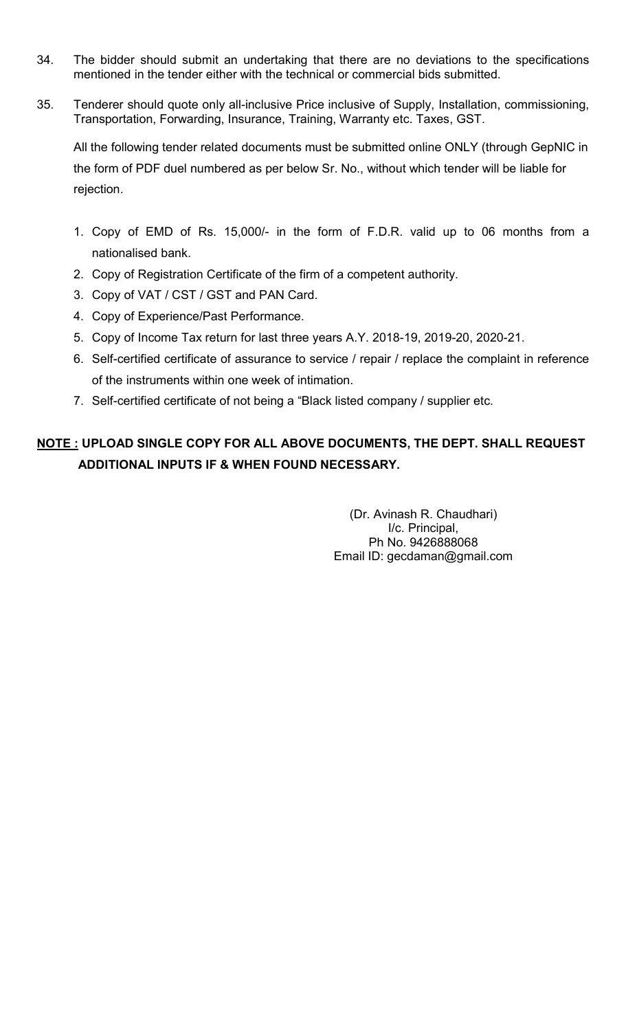- 34. The bidder should submit an undertaking that there are no deviations to the specifications mentioned in the tender either with the technical or commercial bids submitted.
- 35. Tenderer should quote only all-inclusive Price inclusive of Supply, Installation, commissioning, Transportation, Forwarding, Insurance, Training, Warranty etc. Taxes, GST.

All the following tender related documents must be submitted online ONLY (through GepNIC in the form of PDF duel numbered as per below Sr. No., without which tender will be liable for rejection.

- 1. Copy of EMD of Rs. 15,000/- in the form of F.D.R. valid up to 06 months from a nationalised bank.
- 2. Copy of Registration Certificate of the firm of a competent authority.
- 3. Copy of VAT / CST / GST and PAN Card.
- 4. Copy of Experience/Past Performance.
- 5. Copy of Income Tax return for last three years A.Y. 2018-19, 2019-20, 2020-21.
- 6. Self-certified certificate of assurance to service / repair / replace the complaint in reference of the instruments within one week of intimation.
- 7. Self-certified certificate of not being a "Black listed company / supplier etc.

# NOTE : UPLOAD SINGLE COPY FOR ALL ABOVE DOCUMENTS, THE DEPT. SHALL REQUEST ADDITIONAL INPUTS IF & WHEN FOUND NECESSARY.

(Dr. Avinash R. Chaudhari) I/c. Principal, Ph No. 9426888068 Email ID: gecdaman@gmail.com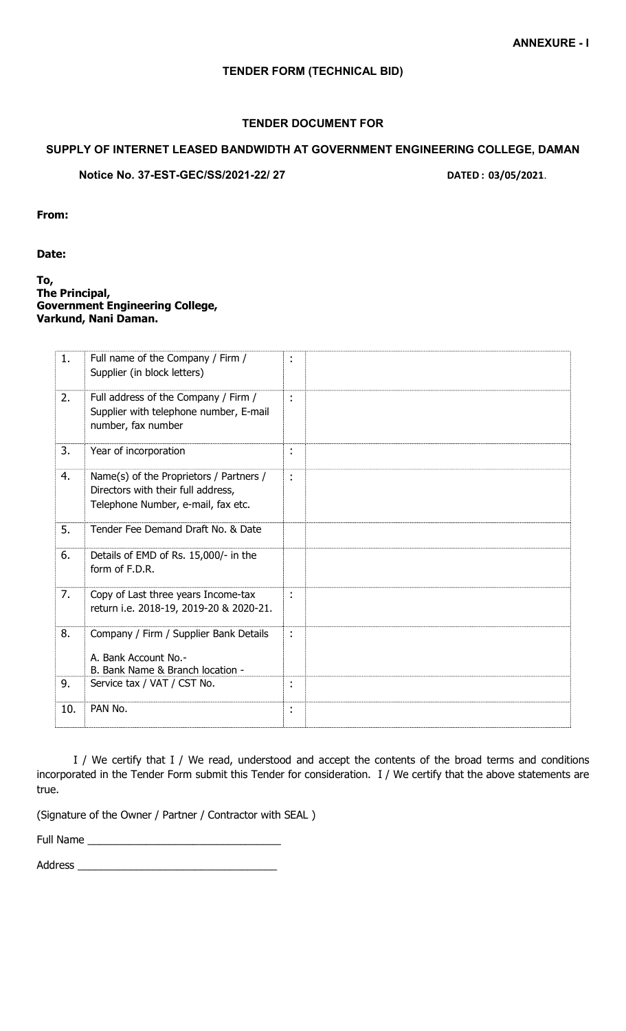## TENDER FORM (TECHNICAL BID)

## TENDER DOCUMENT FOR

## SUPPLY OF INTERNET LEASED BANDWIDTH AT GOVERNMENT ENGINEERING COLLEGE, DAMAN

Notice No. 37-EST-GEC/SS/2021-22/ 27 DATED : 03/05/2021.

From:

Date:

To, The Principal, Government Engineering College, Varkund, Nani Daman.

| 1.  | Full name of the Company / Firm /<br>Supplier (in block letters)                                                    | ÷  |  |
|-----|---------------------------------------------------------------------------------------------------------------------|----|--|
| 2.  | Full address of the Company / Firm /<br>Supplier with telephone number, E-mail<br>number, fax number                | t, |  |
| 3.  | Year of incorporation                                                                                               | t, |  |
| 4.  | Name(s) of the Proprietors / Partners /<br>Directors with their full address,<br>Telephone Number, e-mail, fax etc. | t, |  |
| 5.  | Tender Fee Demand Draft No. & Date                                                                                  |    |  |
| 6.  | Details of EMD of Rs. 15,000/- in the<br>form of F.D.R.                                                             |    |  |
| 7.  | Copy of Last three years Income-tax<br>return i.e. 2018-19, 2019-20 & 2020-21.                                      | ÷  |  |
| 8.  | Company / Firm / Supplier Bank Details<br>A. Bank Account No.-<br>B. Bank Name & Branch location -                  | t, |  |
| 9.  | Service tax / VAT / CST No.                                                                                         | t  |  |
| 10. | PAN No.                                                                                                             | t, |  |

 I / We certify that I / We read, understood and accept the contents of the broad terms and conditions incorporated in the Tender Form submit this Tender for consideration. I / We certify that the above statements are true.

(Signature of the Owner / Partner / Contractor with SEAL )

Full Name \_\_\_\_\_\_\_\_\_\_\_\_\_\_\_\_\_\_\_\_\_\_\_\_\_\_\_\_\_\_\_\_\_

Address \_\_\_\_\_\_\_\_\_\_\_\_\_\_\_\_\_\_\_\_\_\_\_\_\_\_\_\_\_\_\_\_\_\_